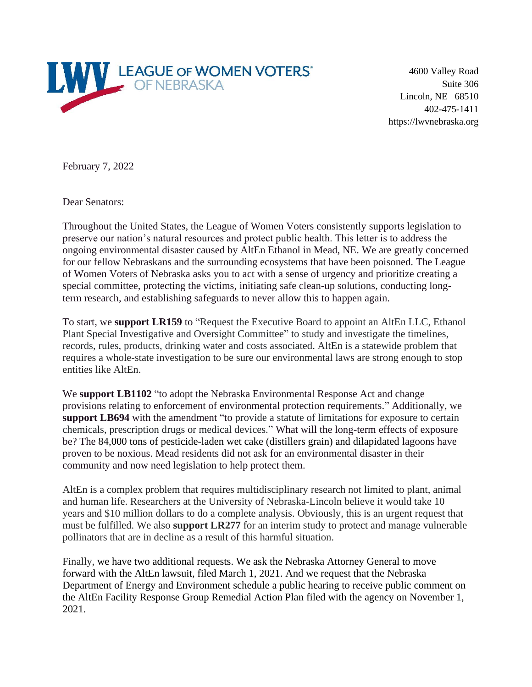

4600 Valley Road Suite 306 Lincoln, NE 68510 402-475-1411 https://lwvnebraska.org

February 7, 2022

Dear Senators:

Throughout the United States, the League of Women Voters consistently supports legislation to preserve our nation's natural resources and protect public health. This letter is to address the ongoing environmental disaster caused by AltEn Ethanol in Mead, NE. We are greatly concerned for our fellow Nebraskans and the surrounding ecosystems that have been poisoned. The League of Women Voters of Nebraska asks you to act with a sense of urgency and prioritize creating a special committee, protecting the victims, initiating safe clean-up solutions, conducting longterm research, and establishing safeguards to never allow this to happen again.

To start, we **support LR159** to "Request the Executive Board to appoint an AltEn LLC, Ethanol Plant Special Investigative and Oversight Committee" to study and investigate the timelines, records, rules, products, drinking water and costs associated. AltEn is a statewide problem that requires a whole-state investigation to be sure our environmental laws are strong enough to stop entities like AltEn.

We **support LB1102** "to adopt the Nebraska Environmental Response Act and change provisions relating to enforcement of environmental protection requirements." Additionally, we **support LB694** with the amendment "to provide a statute of limitations for exposure to certain chemicals, prescription drugs or medical devices." What will the long-term effects of exposure be? The 84,000 tons of pesticide-laden wet cake (distillers grain) and dilapidated lagoons have proven to be noxious. Mead residents did not ask for an environmental disaster in their community and now need legislation to help protect them.

AltEn is a complex problem that requires multidisciplinary research not limited to plant, animal and human life. Researchers at the University of Nebraska-Lincoln believe it would take 10 years and \$10 million dollars to do a complete analysis. Obviously, this is an urgent request that must be fulfilled. We also **support LR277** for an interim study to protect and manage vulnerable pollinators that are in decline as a result of this harmful situation.

Finally, we have two additional requests. We ask the Nebraska Attorney General to move forward with the AltEn lawsuit, filed March 1, 2021. And we request that the Nebraska Department of Energy and Environment schedule a public hearing to receive public comment on the AltEn Facility Response Group Remedial Action Plan filed with the agency on November 1, 2021.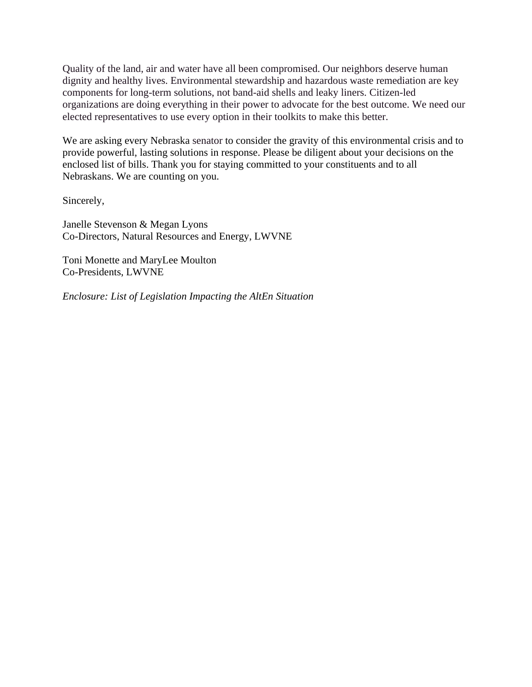Quality of the land, air and water have all been compromised. Our neighbors deserve human dignity and healthy lives. Environmental stewardship and hazardous waste remediation are key components for long-term solutions, not band-aid shells and leaky liners. Citizen-led organizations are doing everything in their power to advocate for the best outcome. We need our elected representatives to use every option in their toolkits to make this better.

We are asking every Nebraska senator to consider the gravity of this environmental crisis and to provide powerful, lasting solutions in response. Please be diligent about your decisions on the enclosed list of bills. Thank you for staying committed to your constituents and to all Nebraskans. We are counting on you.

Sincerely,

Janelle Stevenson & Megan Lyons Co-Directors, Natural Resources and Energy, LWVNE

Toni Monette and MaryLee Moulton Co-Presidents, LWVNE

*Enclosure: List of Legislation Impacting the AltEn Situation*